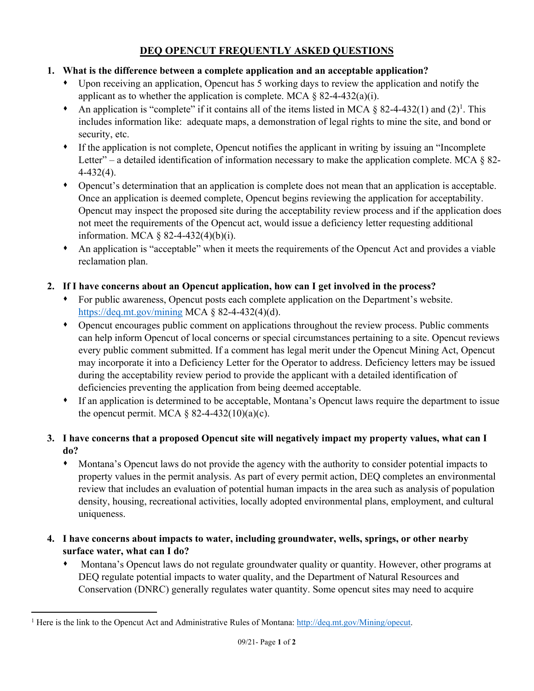# **DEQ OPENCUT FREQUENTLY ASKED QUESTIONS**

### **1. What is the difference between a complete application and an acceptable application?**

- Upon receiving an application, Opencut has 5 working days to review the application and notify the applicant as to whether the application is complete. MCA  $\S$  82-4-432(a)(i).
- An application is "complete" if it contains all of the items listed in MCA  $\S$  82-4-432(1) and (2)<sup>1</sup>. This includes information like: adequate maps, a demonstration of legal rights to mine the site, and bond or security, etc.
- If the application is not complete, Opencut notifies the applicant in writing by issuing an "Incomplete Letter" – a detailed identification of information necessary to make the application complete. MCA  $\S$  82-4-432(4).
- Opencut's determination that an application is complete does not mean that an application is acceptable. Once an application is deemed complete, Opencut begins reviewing the application for acceptability. Opencut may inspect the proposed site during the acceptability review process and if the application does not meet the requirements of the Opencut act, would issue a deficiency letter requesting additional information. MCA § 82-4-432(4)(b)(i).
- An application is "acceptable" when it meets the requirements of the Opencut Act and provides a viable reclamation plan.

### **2. If I have concerns about an Opencut application, how can I get involved in the process?**

- For public awareness, Opencut posts each complete application on the Department's website. https://deq.mt.gov/mining MCA § 82-4-432(4)(d).
- Opencut encourages public comment on applications throughout the review process. Public comments can help inform Opencut of local concerns or special circumstances pertaining to a site. Opencut reviews every public comment submitted. If a comment has legal merit under the Opencut Mining Act, Opencut may incorporate it into a Deficiency Letter for the Operator to address. Deficiency letters may be issued during the acceptability review period to provide the applicant with a detailed identification of deficiencies preventing the application from being deemed acceptable.
- If an application is determined to be acceptable, Montana's Opencut laws require the department to issue the opencut permit. MCA  $\S$  82-4-432(10)(a)(c).

### **3. I have concerns that a proposed Opencut site will negatively impact my property values, what can I do?**

- Montana's Opencut laws do not provide the agency with the authority to consider potential impacts to property values in the permit analysis. As part of every permit action, DEQ completes an environmental review that includes an evaluation of potential human impacts in the area such as analysis of population density, housing, recreational activities, locally adopted environmental plans, employment, and cultural uniqueness.
- **4. I have concerns about impacts to water, including groundwater, wells, springs, or other nearby surface water, what can I do?** 
	- Montana's Opencut laws do not regulate groundwater quality or quantity. However, other programs at DEQ regulate potential impacts to water quality, and the Department of Natural Resources and Conservation (DNRC) generally regulates water quantity. Some opencut sites may need to acquire

<sup>&</sup>lt;sup>1</sup> Here is the link to the Opencut Act and Administrative Rules of Montana: http://deq.mt.gov/Mining/opecut.